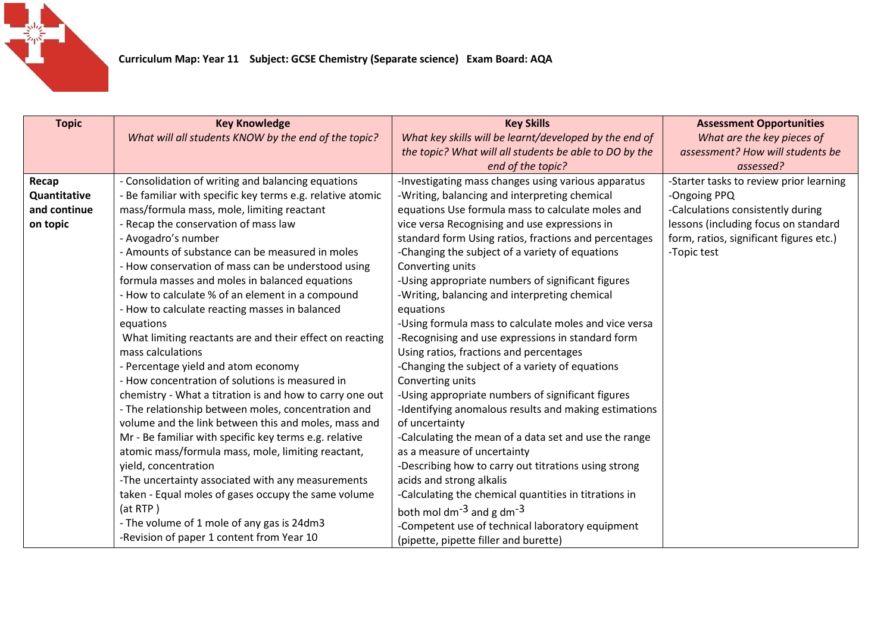

| <b>Topic</b> | <b>Key Knowledge</b>                                     | <b>Key Skills</b>                                      | <b>Assessment Opportunities</b>         |
|--------------|----------------------------------------------------------|--------------------------------------------------------|-----------------------------------------|
|              | What will all students KNOW by the end of the topic?     | What key skills will be learnt/developed by the end of | What are the key pieces of              |
|              |                                                          | the topic? What will all students be able to DO by the | assessment? How will students be        |
|              |                                                          | end of the topic?                                      | assessed?                               |
| Recap        | - Consolidation of writing and balancing equations       | -Investigating mass changes using various apparatus    | -Starter tasks to review prior learning |
| Quantitative | Be familiar with specific key terms e.g. relative atomic | -Writing, balancing and interpreting chemical          | -Ongoing PPQ                            |
| and continue | mass/formula mass, mole, limiting reactant               | equations Use formula mass to calculate moles and      | -Calculations consistently during       |
| on topic     | - Recap the conservation of mass law                     | vice versa Recognising and use expressions in          | lessons (including focus on standard    |
|              | - Avogadro's number                                      | standard form Using ratios, fractions and percentages  | form, ratios, significant figures etc.) |
|              | - Amounts of substance can be measured in moles          | -Changing the subject of a variety of equations        | -Topic test                             |
|              | - How conservation of mass can be understood using       | Converting units                                       |                                         |
|              | formula masses and moles in balanced equations           | -Using appropriate numbers of significant figures      |                                         |
|              | - How to calculate % of an element in a compound         | -Writing, balancing and interpreting chemical          |                                         |
|              | - How to calculate reacting masses in balanced           | equations                                              |                                         |
|              | equations                                                | -Using formula mass to calculate moles and vice versa  |                                         |
|              | What limiting reactants are and their effect on reacting | -Recognising and use expressions in standard form      |                                         |
|              | mass calculations                                        | Using ratios, fractions and percentages                |                                         |
|              | - Percentage yield and atom economy                      | -Changing the subject of a variety of equations        |                                         |
|              | - How concentration of solutions is measured in          | Converting units                                       |                                         |
|              | chemistry - What a titration is and how to carry one out | -Using appropriate numbers of significant figures      |                                         |
|              | - The relationship between moles, concentration and      | -Identifying anomalous results and making estimations  |                                         |
|              | volume and the link between this and moles, mass and     | of uncertainty                                         |                                         |
|              | Mr - Be familiar with specific key terms e.g. relative   | -Calculating the mean of a data set and use the range  |                                         |
|              | atomic mass/formula mass, mole, limiting reactant,       | as a measure of uncertainty                            |                                         |
|              | yield, concentration                                     | -Describing how to carry out titrations using strong   |                                         |
|              | -The uncertainty associated with any measurements        | acids and strong alkalis                               |                                         |
|              | taken - Equal moles of gases occupy the same volume      | -Calculating the chemical quantities in titrations in  |                                         |
|              | (at RTP)                                                 | both mol dm <sup>-3</sup> and g dm <sup>-3</sup>       |                                         |
|              | - The volume of 1 mole of any gas is 24dm3               | -Competent use of technical laboratory equipment       |                                         |
|              | -Revision of paper 1 content from Year 10                | (pipette, pipette filler and burette)                  |                                         |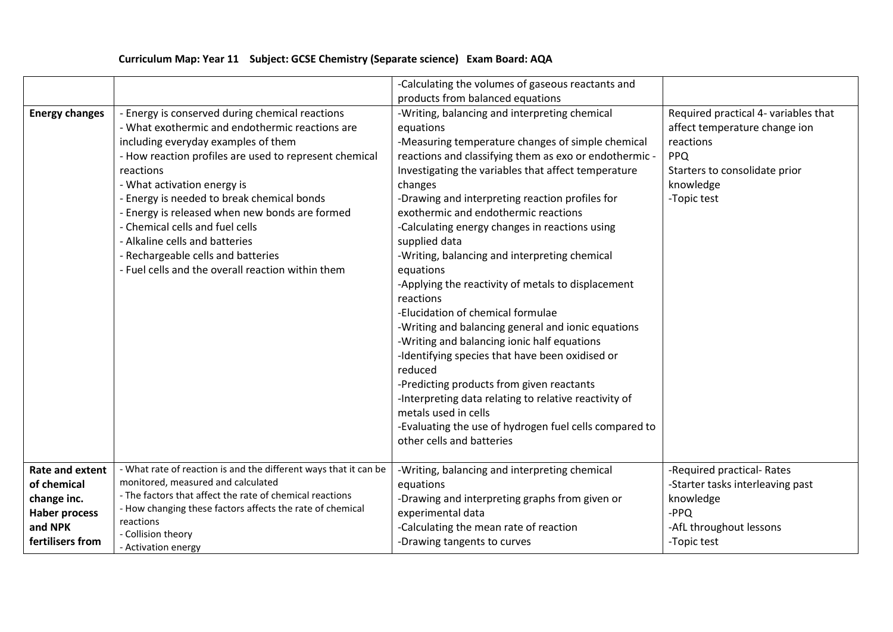|                                                                                                             |                                                                                                                                                                                                                                                                                                                                                                                                                                                                                                                 | -Calculating the volumes of gaseous reactants and                                                                                                                                                                                                                                                                                                                                                                                                                                                                                                                                                                                                                                                                                                                                                                                                                                                                                                                       |                                                                                                                                                               |
|-------------------------------------------------------------------------------------------------------------|-----------------------------------------------------------------------------------------------------------------------------------------------------------------------------------------------------------------------------------------------------------------------------------------------------------------------------------------------------------------------------------------------------------------------------------------------------------------------------------------------------------------|-------------------------------------------------------------------------------------------------------------------------------------------------------------------------------------------------------------------------------------------------------------------------------------------------------------------------------------------------------------------------------------------------------------------------------------------------------------------------------------------------------------------------------------------------------------------------------------------------------------------------------------------------------------------------------------------------------------------------------------------------------------------------------------------------------------------------------------------------------------------------------------------------------------------------------------------------------------------------|---------------------------------------------------------------------------------------------------------------------------------------------------------------|
|                                                                                                             |                                                                                                                                                                                                                                                                                                                                                                                                                                                                                                                 | products from balanced equations                                                                                                                                                                                                                                                                                                                                                                                                                                                                                                                                                                                                                                                                                                                                                                                                                                                                                                                                        |                                                                                                                                                               |
| <b>Energy changes</b>                                                                                       | - Energy is conserved during chemical reactions<br>- What exothermic and endothermic reactions are<br>including everyday examples of them<br>- How reaction profiles are used to represent chemical<br>reactions<br>- What activation energy is<br>- Energy is needed to break chemical bonds<br>- Energy is released when new bonds are formed<br>- Chemical cells and fuel cells<br>- Alkaline cells and batteries<br>- Rechargeable cells and batteries<br>- Fuel cells and the overall reaction within them | -Writing, balancing and interpreting chemical<br>equations<br>-Measuring temperature changes of simple chemical<br>reactions and classifying them as exo or endothermic -<br>Investigating the variables that affect temperature<br>changes<br>-Drawing and interpreting reaction profiles for<br>exothermic and endothermic reactions<br>-Calculating energy changes in reactions using<br>supplied data<br>-Writing, balancing and interpreting chemical<br>equations<br>-Applying the reactivity of metals to displacement<br>reactions<br>-Elucidation of chemical formulae<br>-Writing and balancing general and ionic equations<br>-Writing and balancing ionic half equations<br>-Identifying species that have been oxidised or<br>reduced<br>-Predicting products from given reactants<br>-Interpreting data relating to relative reactivity of<br>metals used in cells<br>-Evaluating the use of hydrogen fuel cells compared to<br>other cells and batteries | Required practical 4- variables that<br>affect temperature change ion<br>reactions<br><b>PPQ</b><br>Starters to consolidate prior<br>knowledge<br>-Topic test |
|                                                                                                             |                                                                                                                                                                                                                                                                                                                                                                                                                                                                                                                 |                                                                                                                                                                                                                                                                                                                                                                                                                                                                                                                                                                                                                                                                                                                                                                                                                                                                                                                                                                         |                                                                                                                                                               |
| <b>Rate and extent</b><br>of chemical<br>change inc.<br><b>Haber process</b><br>and NPK<br>fertilisers from | - What rate of reaction is and the different ways that it can be<br>monitored, measured and calculated<br>- The factors that affect the rate of chemical reactions<br>- How changing these factors affects the rate of chemical<br>reactions<br>- Collision theory<br>- Activation energy                                                                                                                                                                                                                       | -Writing, balancing and interpreting chemical<br>equations<br>-Drawing and interpreting graphs from given or<br>experimental data<br>-Calculating the mean rate of reaction<br>-Drawing tangents to curves                                                                                                                                                                                                                                                                                                                                                                                                                                                                                                                                                                                                                                                                                                                                                              | -Required practical-Rates<br>-Starter tasks interleaving past<br>knowledge<br>$-PPQ$<br>-AfL throughout lessons<br>-Topic test                                |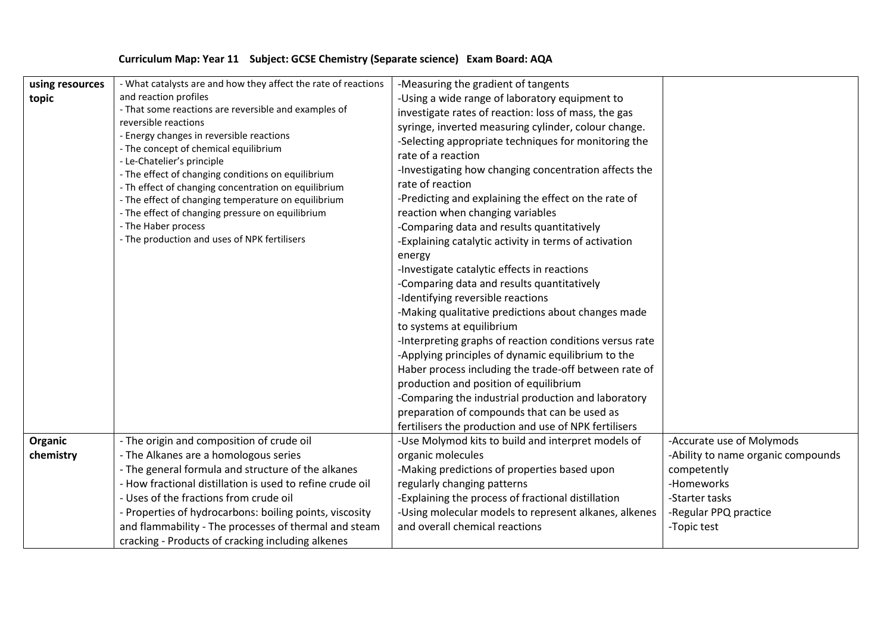|  | Curriculum Map: Year 11 Subject: GCSE Chemistry (Separate science) Exam Board: AQA |  |
|--|------------------------------------------------------------------------------------|--|
|--|------------------------------------------------------------------------------------|--|

| using resources<br>topic | - What catalysts are and how they affect the rate of reactions<br>and reaction profiles<br>- That some reactions are reversible and examples of<br>reversible reactions<br>- Energy changes in reversible reactions<br>- The concept of chemical equilibrium<br>- Le-Chatelier's principle<br>- The effect of changing conditions on equilibrium<br>- Th effect of changing concentration on equilibrium<br>- The effect of changing temperature on equilibrium<br>- The effect of changing pressure on equilibrium<br>- The Haber process<br>- The production and uses of NPK fertilisers | -Measuring the gradient of tangents<br>-Using a wide range of laboratory equipment to<br>investigate rates of reaction: loss of mass, the gas<br>syringe, inverted measuring cylinder, colour change.<br>-Selecting appropriate techniques for monitoring the<br>rate of a reaction<br>-Investigating how changing concentration affects the<br>rate of reaction<br>-Predicting and explaining the effect on the rate of<br>reaction when changing variables<br>-Comparing data and results quantitatively<br>-Explaining catalytic activity in terms of activation<br>energy<br>-Investigate catalytic effects in reactions<br>-Comparing data and results quantitatively<br>-Identifying reversible reactions<br>-Making qualitative predictions about changes made<br>to systems at equilibrium<br>-Interpreting graphs of reaction conditions versus rate<br>-Applying principles of dynamic equilibrium to the<br>Haber process including the trade-off between rate of<br>production and position of equilibrium<br>-Comparing the industrial production and laboratory<br>preparation of compounds that can be used as<br>fertilisers the production and use of NPK fertilisers |                                                                                                                                                        |
|--------------------------|--------------------------------------------------------------------------------------------------------------------------------------------------------------------------------------------------------------------------------------------------------------------------------------------------------------------------------------------------------------------------------------------------------------------------------------------------------------------------------------------------------------------------------------------------------------------------------------------|----------------------------------------------------------------------------------------------------------------------------------------------------------------------------------------------------------------------------------------------------------------------------------------------------------------------------------------------------------------------------------------------------------------------------------------------------------------------------------------------------------------------------------------------------------------------------------------------------------------------------------------------------------------------------------------------------------------------------------------------------------------------------------------------------------------------------------------------------------------------------------------------------------------------------------------------------------------------------------------------------------------------------------------------------------------------------------------------------------------------------------------------------------------------------------------|--------------------------------------------------------------------------------------------------------------------------------------------------------|
| Organic<br>chemistry     | - The origin and composition of crude oil<br>- The Alkanes are a homologous series<br>- The general formula and structure of the alkanes<br>- How fractional distillation is used to refine crude oil<br>- Uses of the fractions from crude oil<br>- Properties of hydrocarbons: boiling points, viscosity<br>and flammability - The processes of thermal and steam<br>cracking - Products of cracking including alkenes                                                                                                                                                                   | -Use Molymod kits to build and interpret models of<br>organic molecules<br>-Making predictions of properties based upon<br>regularly changing patterns<br>-Explaining the process of fractional distillation<br>-Using molecular models to represent alkanes, alkenes<br>and overall chemical reactions                                                                                                                                                                                                                                                                                                                                                                                                                                                                                                                                                                                                                                                                                                                                                                                                                                                                                | -Accurate use of Molymods<br>-Ability to name organic compounds<br>competently<br>-Homeworks<br>-Starter tasks<br>-Regular PPQ practice<br>-Topic test |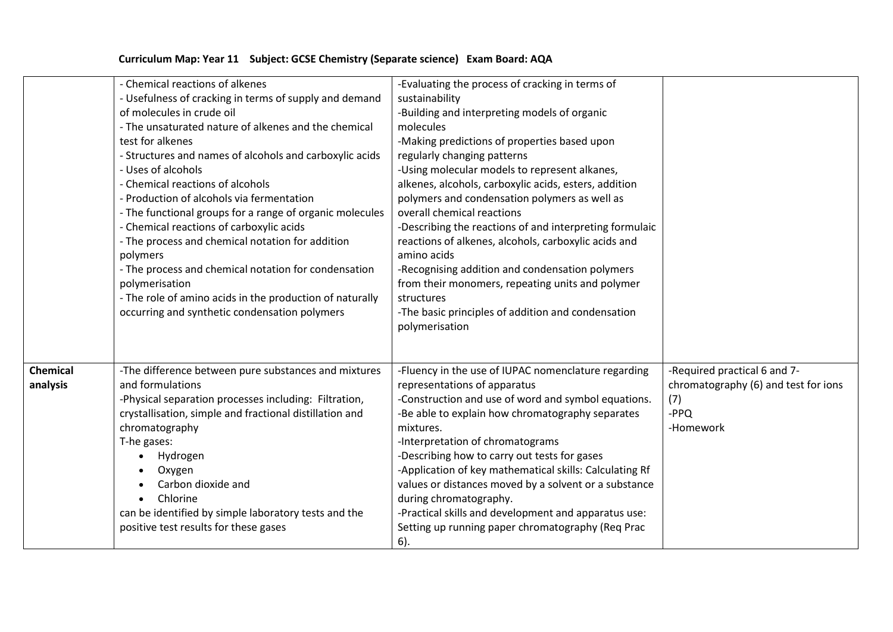|                 | - Chemical reactions of alkenes                          | -Evaluating the process of cracking in terms of         |                                      |
|-----------------|----------------------------------------------------------|---------------------------------------------------------|--------------------------------------|
|                 | - Usefulness of cracking in terms of supply and demand   | sustainability                                          |                                      |
|                 | of molecules in crude oil                                | -Building and interpreting models of organic            |                                      |
|                 | - The unsaturated nature of alkenes and the chemical     | molecules                                               |                                      |
|                 | test for alkenes                                         | -Making predictions of properties based upon            |                                      |
|                 | - Structures and names of alcohols and carboxylic acids  | regularly changing patterns                             |                                      |
|                 | - Uses of alcohols                                       | -Using molecular models to represent alkanes,           |                                      |
|                 | - Chemical reactions of alcohols                         | alkenes, alcohols, carboxylic acids, esters, addition   |                                      |
|                 | - Production of alcohols via fermentation                | polymers and condensation polymers as well as           |                                      |
|                 | - The functional groups for a range of organic molecules | overall chemical reactions                              |                                      |
|                 | - Chemical reactions of carboxylic acids                 | -Describing the reactions of and interpreting formulaic |                                      |
|                 | - The process and chemical notation for addition         | reactions of alkenes, alcohols, carboxylic acids and    |                                      |
|                 | polymers                                                 | amino acids                                             |                                      |
|                 | - The process and chemical notation for condensation     | -Recognising addition and condensation polymers         |                                      |
|                 | polymerisation                                           | from their monomers, repeating units and polymer        |                                      |
|                 | - The role of amino acids in the production of naturally | structures                                              |                                      |
|                 | occurring and synthetic condensation polymers            | -The basic principles of addition and condensation      |                                      |
|                 |                                                          | polymerisation                                          |                                      |
|                 |                                                          |                                                         |                                      |
|                 |                                                          |                                                         |                                      |
| <b>Chemical</b> | -The difference between pure substances and mixtures     | -Fluency in the use of IUPAC nomenclature regarding     | -Required practical 6 and 7-         |
| analysis        | and formulations                                         | representations of apparatus                            | chromatography (6) and test for ions |
|                 | -Physical separation processes including: Filtration,    | -Construction and use of word and symbol equations.     | (7)                                  |
|                 | crystallisation, simple and fractional distillation and  | -Be able to explain how chromatography separates        | $-PPQ$                               |
|                 | chromatography                                           | mixtures.                                               | -Homework                            |
|                 | T-he gases:                                              | -Interpretation of chromatograms                        |                                      |
|                 | Hydrogen                                                 | -Describing how to carry out tests for gases            |                                      |
|                 | Oxygen                                                   | -Application of key mathematical skills: Calculating Rf |                                      |
|                 | Carbon dioxide and                                       | values or distances moved by a solvent or a substance   |                                      |
|                 | Chlorine                                                 | during chromatography.                                  |                                      |
|                 | can be identified by simple laboratory tests and the     | -Practical skills and development and apparatus use:    |                                      |
|                 | positive test results for these gases                    | Setting up running paper chromatography (Req Prac       |                                      |
|                 |                                                          | $6$ ).                                                  |                                      |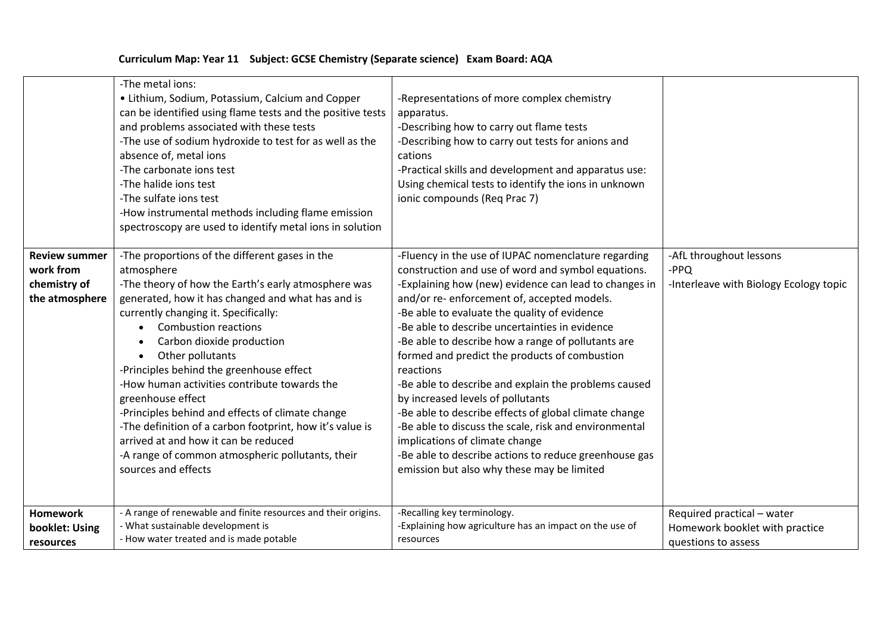|                                                                     | -The metal ions:<br>• Lithium, Sodium, Potassium, Calcium and Copper<br>can be identified using flame tests and the positive tests<br>and problems associated with these tests<br>-The use of sodium hydroxide to test for as well as the<br>absence of, metal ions<br>-The carbonate ions test<br>-The halide ions test<br>-The sulfate ions test<br>-How instrumental methods including flame emission<br>spectroscopy are used to identify metal ions in solution                                                                                                                                                                                 | -Representations of more complex chemistry<br>apparatus.<br>-Describing how to carry out flame tests<br>-Describing how to carry out tests for anions and<br>cations<br>-Practical skills and development and apparatus use:<br>Using chemical tests to identify the ions in unknown<br>ionic compounds (Req Prac 7)                                                                                                                                                                                                                                                                                                                                                                                                                                                                            |                                                                                     |
|---------------------------------------------------------------------|------------------------------------------------------------------------------------------------------------------------------------------------------------------------------------------------------------------------------------------------------------------------------------------------------------------------------------------------------------------------------------------------------------------------------------------------------------------------------------------------------------------------------------------------------------------------------------------------------------------------------------------------------|-------------------------------------------------------------------------------------------------------------------------------------------------------------------------------------------------------------------------------------------------------------------------------------------------------------------------------------------------------------------------------------------------------------------------------------------------------------------------------------------------------------------------------------------------------------------------------------------------------------------------------------------------------------------------------------------------------------------------------------------------------------------------------------------------|-------------------------------------------------------------------------------------|
| <b>Review summer</b><br>work from<br>chemistry of<br>the atmosphere | -The proportions of the different gases in the<br>atmosphere<br>-The theory of how the Earth's early atmosphere was<br>generated, how it has changed and what has and is<br>currently changing it. Specifically:<br><b>Combustion reactions</b><br>Carbon dioxide production<br>Other pollutants<br>-Principles behind the greenhouse effect<br>-How human activities contribute towards the<br>greenhouse effect<br>-Principles behind and effects of climate change<br>-The definition of a carbon footprint, how it's value is<br>arrived at and how it can be reduced<br>-A range of common atmospheric pollutants, their<br>sources and effects | -Fluency in the use of IUPAC nomenclature regarding<br>construction and use of word and symbol equations.<br>-Explaining how (new) evidence can lead to changes in<br>and/or re- enforcement of, accepted models.<br>-Be able to evaluate the quality of evidence<br>-Be able to describe uncertainties in evidence<br>-Be able to describe how a range of pollutants are<br>formed and predict the products of combustion<br>reactions<br>-Be able to describe and explain the problems caused<br>by increased levels of pollutants<br>-Be able to describe effects of global climate change<br>-Be able to discuss the scale, risk and environmental<br>implications of climate change<br>-Be able to describe actions to reduce greenhouse gas<br>emission but also why these may be limited | -AfL throughout lessons<br>$-PPQ$<br>-Interleave with Biology Ecology topic         |
| <b>Homework</b><br>booklet: Using<br>resources                      | - A range of renewable and finite resources and their origins.<br>- What sustainable development is<br>- How water treated and is made potable                                                                                                                                                                                                                                                                                                                                                                                                                                                                                                       | -Recalling key terminology.<br>-Explaining how agriculture has an impact on the use of<br>resources                                                                                                                                                                                                                                                                                                                                                                                                                                                                                                                                                                                                                                                                                             | Required practical - water<br>Homework booklet with practice<br>questions to assess |